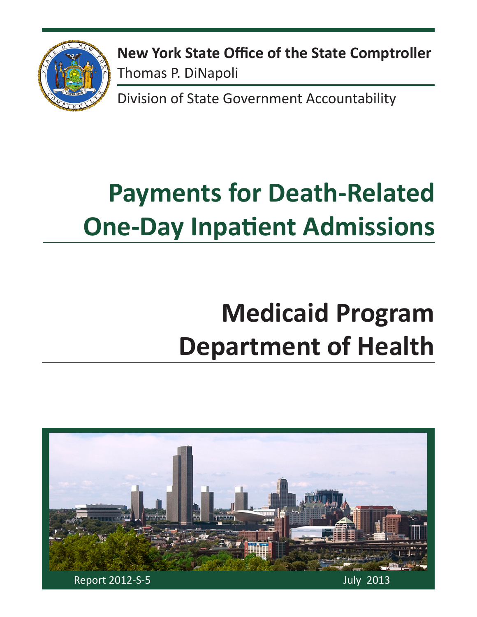

**New York State Office of the State Comptroller** Thomas P. DiNapoli

Division of State Government Accountability

# **Payments for Death-Related One-Day Inpatient Admissions**

# **Medicaid Program Department of Health**

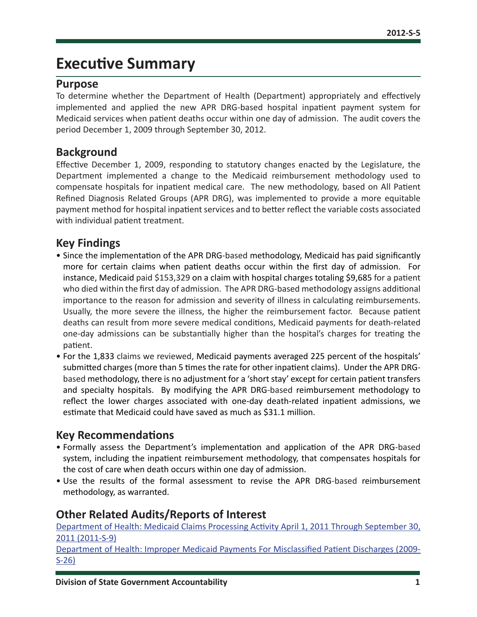### **Executive Summary**

#### **Purpose**

To determine whether the Department of Health (Department) appropriately and effectively implemented and applied the new APR DRG-based hospital inpatient payment system for Medicaid services when patient deaths occur within one day of admission. The audit covers the period December 1, 2009 through September 30, 2012.

#### **Background**

Effective December 1, 2009, responding to statutory changes enacted by the Legislature, the Department implemented a change to the Medicaid reimbursement methodology used to compensate hospitals for inpatient medical care. The new methodology, based on All Patient Refined Diagnosis Related Groups (APR DRG), was implemented to provide a more equitable payment method for hospital inpatient services and to better reflect the variable costs associated with individual patient treatment.

#### **Key Findings**

- Since the implementation of the APR DRG-based methodology, Medicaid has paid significantly more for certain claims when patient deaths occur within the first day of admission. For instance, Medicaid paid \$153,329 on a claim with hospital charges totaling \$9,685 for a patient who died within the first day of admission. The APR DRG-based methodology assigns additional importance to the reason for admission and severity of illness in calculating reimbursements. Usually, the more severe the illness, the higher the reimbursement factor. Because patient deaths can result from more severe medical conditions, Medicaid payments for death-related one-day admissions can be substantially higher than the hospital's charges for treating the patient.
- For the 1,833 claims we reviewed, Medicaid payments averaged 225 percent of the hospitals' submitted charges (more than 5 times the rate for other inpatient claims). Under the APR DRGbased methodology, there is no adjustment for a 'short stay' except for certain patient transfers and specialty hospitals. By modifying the APR DRG-based reimbursement methodology to reflect the lower charges associated with one-day death-related inpatient admissions, we estimate that Medicaid could have saved as much as \$31.1 million.

#### **Key Recommendations**

- Formally assess the Department's implementation and application of the APR DRG-based system, including the inpatient reimbursement methodology, that compensates hospitals for the cost of care when death occurs within one day of admission.
- Use the results of the formal assessment to revise the APR DRG-based reimbursement methodology, as warranted.

#### **Other Related Audits/Reports of Interest**

[Department of Health: Medicaid Claims Processing Activity April 1, 2011 Through September 30,](http://osc.state.ny.us/audits/allaudits/093013/11s9.pdf)  [2011 \(2011-S-9\)](http://osc.state.ny.us/audits/allaudits/093013/11s9.pdf)

[Department of Health: Improper Medicaid Payments For Misclassified Patient Discharges \(2009-](http://osc.state.ny.us/audits/allaudits/093010/09s26.pdf) [S-26\)](http://osc.state.ny.us/audits/allaudits/093010/09s26.pdf)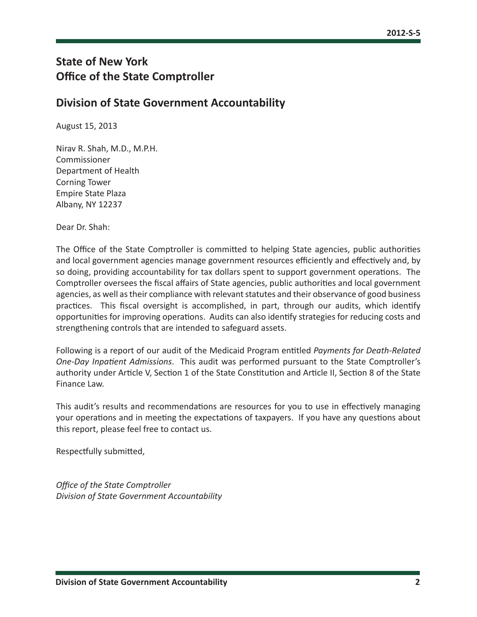### **State of New York Office of the State Comptroller**

#### **Division of State Government Accountability**

August 15, 2013

Nirav R. Shah, M.D., M.P.H. Commissioner Department of Health Corning Tower Empire State Plaza Albany, NY 12237

Dear Dr. Shah:

The Office of the State Comptroller is committed to helping State agencies, public authorities and local government agencies manage government resources efficiently and effectively and, by so doing, providing accountability for tax dollars spent to support government operations. The Comptroller oversees the fiscal affairs of State agencies, public authorities and local government agencies, as well as their compliance with relevant statutes and their observance of good business practices. This fiscal oversight is accomplished, in part, through our audits, which identify opportunities for improving operations. Audits can also identify strategies for reducing costs and strengthening controls that are intended to safeguard assets.

Following is a report of our audit of the Medicaid Program entitled *Payments for Death-Related One-Day Inpatient Admissions*. This audit was performed pursuant to the State Comptroller's authority under Article V, Section 1 of the State Constitution and Article II, Section 8 of the State Finance Law.

This audit's results and recommendations are resources for you to use in effectively managing your operations and in meeting the expectations of taxpayers. If you have any questions about this report, please feel free to contact us.

Respectfully submitted,

*Office of the State Comptroller Division of State Government Accountability*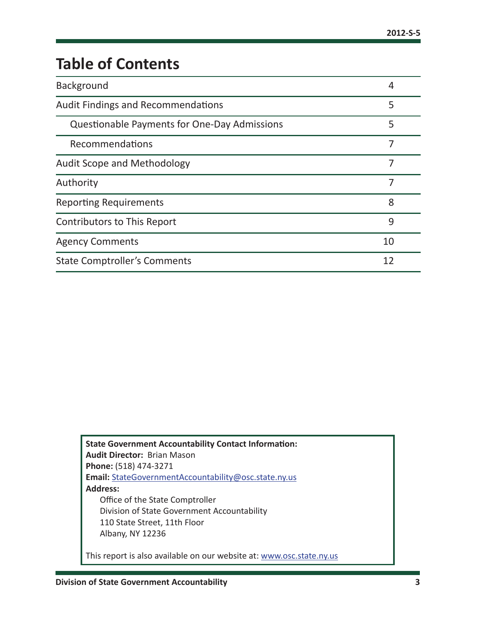# **Table of Contents**

| Background                                          | 4  |
|-----------------------------------------------------|----|
| <b>Audit Findings and Recommendations</b>           | 5  |
| <b>Questionable Payments for One-Day Admissions</b> | 5  |
| Recommendations                                     | 7  |
| <b>Audit Scope and Methodology</b>                  | 7  |
| Authority                                           |    |
| <b>Reporting Requirements</b>                       | 8  |
| <b>Contributors to This Report</b>                  | 9  |
| <b>Agency Comments</b>                              | 10 |
| <b>State Comptroller's Comments</b>                 | 12 |

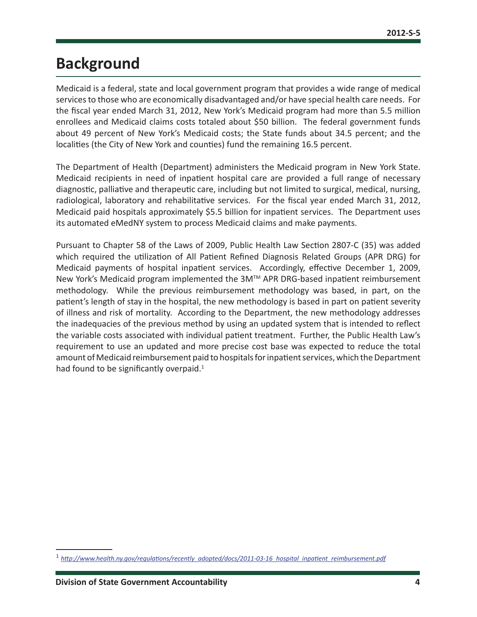### <span id="page-4-0"></span>**Background**

Medicaid is a federal, state and local government program that provides a wide range of medical services to those who are economically disadvantaged and/or have special health care needs. For the fiscal year ended March 31, 2012, New York's Medicaid program had more than 5.5 million enrollees and Medicaid claims costs totaled about \$50 billion. The federal government funds about 49 percent of New York's Medicaid costs; the State funds about 34.5 percent; and the localities (the City of New York and counties) fund the remaining 16.5 percent.

The Department of Health (Department) administers the Medicaid program in New York State. Medicaid recipients in need of inpatient hospital care are provided a full range of necessary diagnostic, palliative and therapeutic care, including but not limited to surgical, medical, nursing, radiological, laboratory and rehabilitative services. For the fiscal year ended March 31, 2012, Medicaid paid hospitals approximately \$5.5 billion for inpatient services. The Department uses its automated eMedNY system to process Medicaid claims and make payments.

Pursuant to Chapter 58 of the Laws of 2009, Public Health Law Section 2807-C (35) was added which required the utilization of All Patient Refined Diagnosis Related Groups (APR DRG) for Medicaid payments of hospital inpatient services. Accordingly, effective December 1, 2009, New York's Medicaid program implemented the 3M™ APR DRG-based inpatient reimbursement methodology. While the previous reimbursement methodology was based, in part, on the patient's length of stay in the hospital, the new methodology is based in part on patient severity of illness and risk of mortality. According to the Department, the new methodology addresses the inadequacies of the previous method by using an updated system that is intended to reflect the variable costs associated with individual patient treatment. Further, the Public Health Law's requirement to use an updated and more precise cost base was expected to reduce the total amount of Medicaid reimbursement paid to hospitals for inpatient services, which the Department had found to be significantly overpaid. $1$ 

<sup>1</sup> *[http://www.health.ny.gov/regulations/recently\\_adopted/docs/2011-03-16\\_hospital\\_inpatient\\_reimbursement.pdf](http://www.health.ny.gov/regulations/recently_adopted/docs/2011-03-16_hospital_inpatient_reimbursement.pdf)*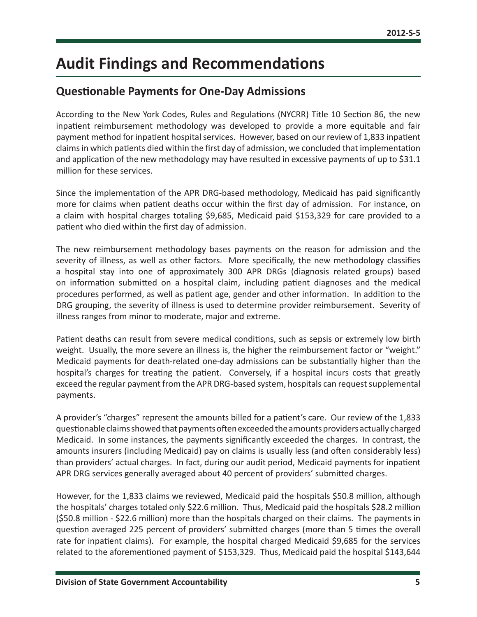## <span id="page-5-0"></span>**Audit Findings and Recommendations**

### **Questionable Payments for One-Day Admissions**

According to the New York Codes, Rules and Regulations (NYCRR) Title 10 Section 86, the new inpatient reimbursement methodology was developed to provide a more equitable and fair payment method for inpatient hospital services. However, based on our review of 1,833 inpatient claims in which patients died within the first day of admission, we concluded that implementation and application of the new methodology may have resulted in excessive payments of up to \$31.1 million for these services.

Since the implementation of the APR DRG-based methodology, Medicaid has paid significantly more for claims when patient deaths occur within the first day of admission. For instance, on a claim with hospital charges totaling \$9,685, Medicaid paid \$153,329 for care provided to a patient who died within the first day of admission.

The new reimbursement methodology bases payments on the reason for admission and the severity of illness, as well as other factors. More specifically, the new methodology classifies a hospital stay into one of approximately 300 APR DRGs (diagnosis related groups) based on information submitted on a hospital claim, including patient diagnoses and the medical procedures performed, as well as patient age, gender and other information. In addition to the DRG grouping, the severity of illness is used to determine provider reimbursement. Severity of illness ranges from minor to moderate, major and extreme.

Patient deaths can result from severe medical conditions, such as sepsis or extremely low birth weight. Usually, the more severe an illness is, the higher the reimbursement factor or "weight." Medicaid payments for death-related one-day admissions can be substantially higher than the hospital's charges for treating the patient. Conversely, if a hospital incurs costs that greatly exceed the regular payment from the APR DRG-based system, hospitals can request supplemental payments.

A provider's "charges" represent the amounts billed for a patient's care. Our review of the 1,833 questionable claims showed that payments often exceeded the amounts providers actually charged Medicaid. In some instances, the payments significantly exceeded the charges. In contrast, the amounts insurers (including Medicaid) pay on claims is usually less (and often considerably less) than providers' actual charges. In fact, during our audit period, Medicaid payments for inpatient APR DRG services generally averaged about 40 percent of providers' submitted charges.

However, for the 1,833 claims we reviewed, Medicaid paid the hospitals \$50.8 million, although the hospitals' charges totaled only \$22.6 million. Thus, Medicaid paid the hospitals \$28.2 million (\$50.8 million - \$22.6 million) more than the hospitals charged on their claims. The payments in question averaged 225 percent of providers' submitted charges (more than 5 times the overall rate for inpatient claims). For example, the hospital charged Medicaid \$9,685 for the services related to the aforementioned payment of \$153,329. Thus, Medicaid paid the hospital \$143,644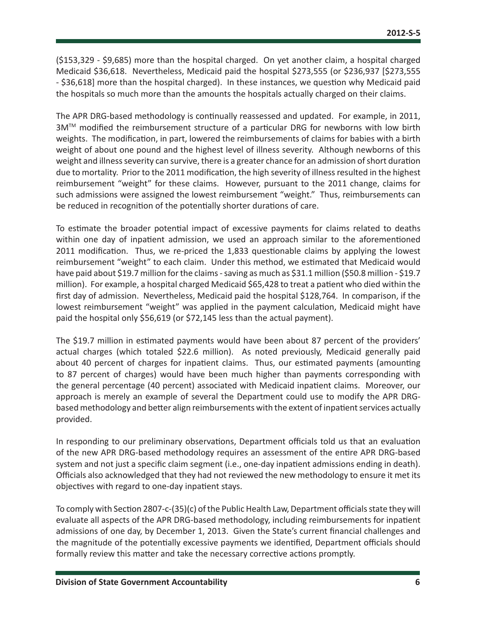(\$153,329 - \$9,685) more than the hospital charged. On yet another claim, a hospital charged Medicaid \$36,618. Nevertheless, Medicaid paid the hospital \$273,555 (or \$236,937 [\$273,555 - \$36,618] more than the hospital charged). In these instances, we question why Medicaid paid the hospitals so much more than the amounts the hospitals actually charged on their claims.

The APR DRG-based methodology is continually reassessed and updated. For example, in 2011, 3M™ modified the reimbursement structure of a particular DRG for newborns with low birth weights. The modification, in part, lowered the reimbursements of claims for babies with a birth weight of about one pound and the highest level of illness severity. Although newborns of this weight and illness severity can survive, there is a greater chance for an admission of short duration due to mortality. Prior to the 2011 modification, the high severity of illness resulted in the highest reimbursement "weight" for these claims. However, pursuant to the 2011 change, claims for such admissions were assigned the lowest reimbursement "weight." Thus, reimbursements can be reduced in recognition of the potentially shorter durations of care.

To estimate the broader potential impact of excessive payments for claims related to deaths within one day of inpatient admission, we used an approach similar to the aforementioned 2011 modification. Thus, we re-priced the 1,833 questionable claims by applying the lowest reimbursement "weight" to each claim. Under this method, we estimated that Medicaid would have paid about \$19.7 million for the claims - saving as much as \$31.1 million (\$50.8 million - \$19.7 million). For example, a hospital charged Medicaid \$65,428 to treat a patient who died within the first day of admission. Nevertheless, Medicaid paid the hospital \$128,764. In comparison, if the lowest reimbursement "weight" was applied in the payment calculation, Medicaid might have paid the hospital only \$56,619 (or \$72,145 less than the actual payment).

The \$19.7 million in estimated payments would have been about 87 percent of the providers' actual charges (which totaled \$22.6 million). As noted previously, Medicaid generally paid about 40 percent of charges for inpatient claims. Thus, our estimated payments (amounting to 87 percent of charges) would have been much higher than payments corresponding with the general percentage (40 percent) associated with Medicaid inpatient claims. Moreover, our approach is merely an example of several the Department could use to modify the APR DRGbased methodology and better align reimbursements with the extent of inpatient services actually provided.

In responding to our preliminary observations, Department officials told us that an evaluation of the new APR DRG-based methodology requires an assessment of the entire APR DRG-based system and not just a specific claim segment (i.e., one-day inpatient admissions ending in death). Officials also acknowledged that they had not reviewed the new methodology to ensure it met its objectives with regard to one-day inpatient stays.

To comply with Section 2807-c-(35)(c) of the Public Health Law, Department officials state they will evaluate all aspects of the APR DRG-based methodology, including reimbursements for inpatient admissions of one day, by December 1, 2013. Given the State's current financial challenges and the magnitude of the potentially excessive payments we identified, Department officials should formally review this matter and take the necessary corrective actions promptly.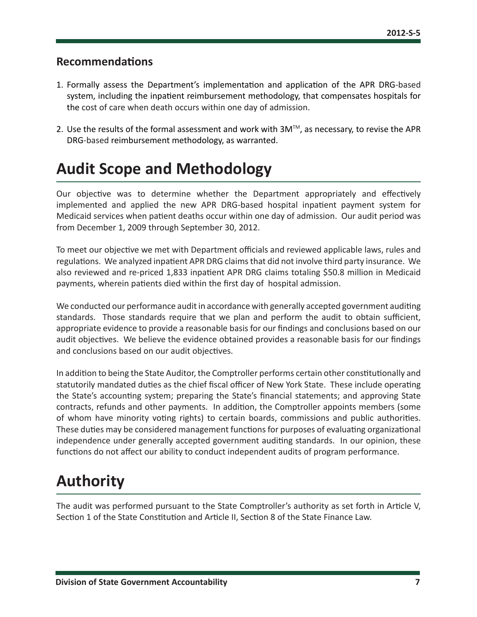#### <span id="page-7-0"></span>**Recommendations**

- 1. Formally assess the Department's implementation and application of the APR DRG-based system, including the inpatient reimbursement methodology, that compensates hospitals for the cost of care when death occurs within one day of admission.
- 2. Use the results of the formal assessment and work with  $3M<sup>TM</sup>$ , as necessary, to revise the APR DRG-based reimbursement methodology, as warranted.

## **Audit Scope and Methodology**

Our objective was to determine whether the Department appropriately and effectively implemented and applied the new APR DRG-based hospital inpatient payment system for Medicaid services when patient deaths occur within one day of admission. Our audit period was from December 1, 2009 through September 30, 2012.

To meet our objective we met with Department officials and reviewed applicable laws, rules and regulations. We analyzed inpatient APR DRG claims that did not involve third party insurance. We also reviewed and re-priced 1,833 inpatient APR DRG claims totaling \$50.8 million in Medicaid payments, wherein patients died within the first day of hospital admission.

We conducted our performance audit in accordance with generally accepted government auditing standards. Those standards require that we plan and perform the audit to obtain sufficient, appropriate evidence to provide a reasonable basis for our findings and conclusions based on our audit objectives. We believe the evidence obtained provides a reasonable basis for our findings and conclusions based on our audit objectives.

In addition to being the State Auditor, the Comptroller performs certain other constitutionally and statutorily mandated duties as the chief fiscal officer of New York State. These include operating the State's accounting system; preparing the State's financial statements; and approving State contracts, refunds and other payments. In addition, the Comptroller appoints members (some of whom have minority voting rights) to certain boards, commissions and public authorities. These duties may be considered management functions for purposes of evaluating organizational independence under generally accepted government auditing standards. In our opinion, these functions do not affect our ability to conduct independent audits of program performance.

## **Authority**

The audit was performed pursuant to the State Comptroller's authority as set forth in Article V, Section 1 of the State Constitution and Article II, Section 8 of the State Finance Law.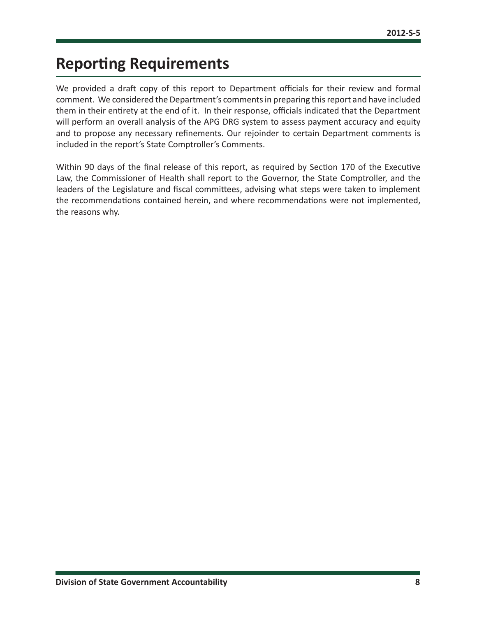## <span id="page-8-0"></span>**Reporting Requirements**

We provided a draft copy of this report to Department officials for their review and formal comment. We considered the Department's comments in preparing this report and have included them in their entirety at the end of it. In their response, officials indicated that the Department will perform an overall analysis of the APG DRG system to assess payment accuracy and equity and to propose any necessary refinements. Our rejoinder to certain Department comments is included in the report's State Comptroller's Comments.

Within 90 days of the final release of this report, as required by Section 170 of the Executive Law, the Commissioner of Health shall report to the Governor, the State Comptroller, and the leaders of the Legislature and fiscal committees, advising what steps were taken to implement the recommendations contained herein, and where recommendations were not implemented, the reasons why.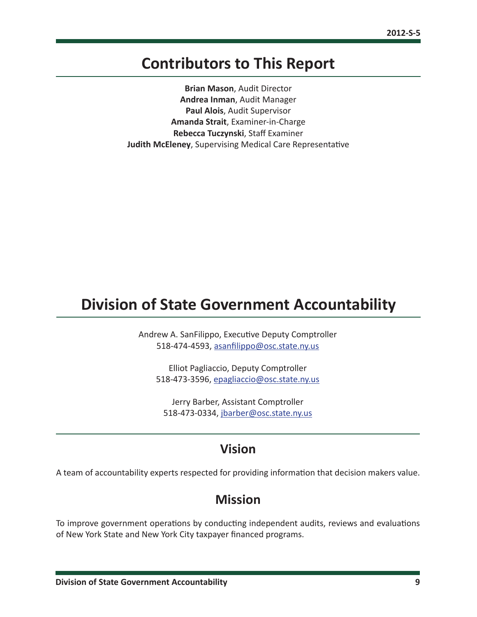### <span id="page-9-0"></span>**Contributors to This Report**

**Brian Mason**, Audit Director **Andrea Inman**, Audit Manager **Paul Alois**, Audit Supervisor **Amanda Strait**, Examiner-in-Charge **Rebecca Tuczynski**, Staff Examiner **Judith McEleney**, Supervising Medical Care Representative

### **Division of State Government Accountability**

Andrew A. SanFilippo, Executive Deputy Comptroller 518-474-4593, [asanfilippo@osc.state.ny.us](mailto:asanfilippo%40osc.state.ny.us%0D?subject=)

Elliot Pagliaccio, Deputy Comptroller 518-473-3596, [epagliaccio@osc.state.ny.us](mailto:epagliaccio%40osc.state.ny.us?subject=)

Jerry Barber, Assistant Comptroller 518-473-0334, [jbarber@osc.state.ny.us](mailto:jbarber%40osc.state.ny.us?subject=)

### **Vision**

A team of accountability experts respected for providing information that decision makers value.

### **Mission**

To improve government operations by conducting independent audits, reviews and evaluations of New York State and New York City taxpayer financed programs.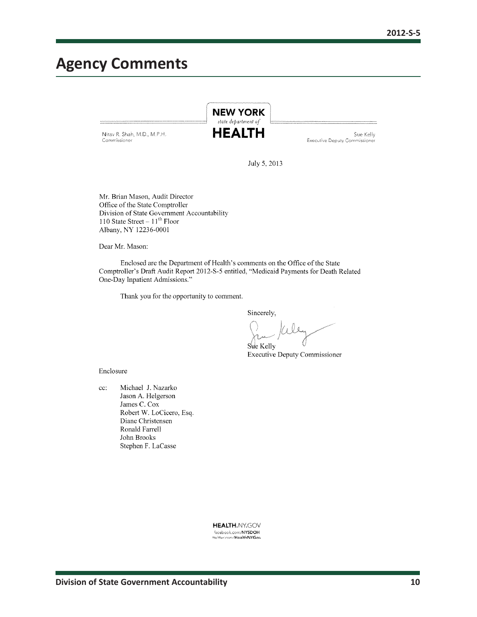### <span id="page-10-0"></span>**Agency Comments**

Nirav R. Shah, M.D., M.P.H. Commissioner

**HEALTH** 

Sue Kelly Executive Deputy Commissioner

July 5, 2013

**NEW YORK** state department of

Mr. Brian Mason, Audit Director Office of the State Comptroller Division of State Government Accountability 110 State Street  $-11^{th}$  Floor Albany, NY 12236-0001

Dear Mr. Mason:

Enclosed are the Department of Health's comments on the Office of the State Comptroller's Draft Audit Report 2012-S-5 entitled, "Medicaid Payments for Death Related One-Day Inpatient Admissions."

Thank you for the opportunity to comment.

Sincerely,

Sue Kelly

**Executive Deputy Commissioner** 

Enclosure

Michael J. Nazarko cc: Jason A. Helgerson James C. Cox Robert W. LoCicero, Esq. Diane Christensen Ronald Farrell John Brooks Stephen F. LaCasse

> **HEALTH.NY.GOV** facebook.com/NYSDOH<br>twitter.com/HealthNYGov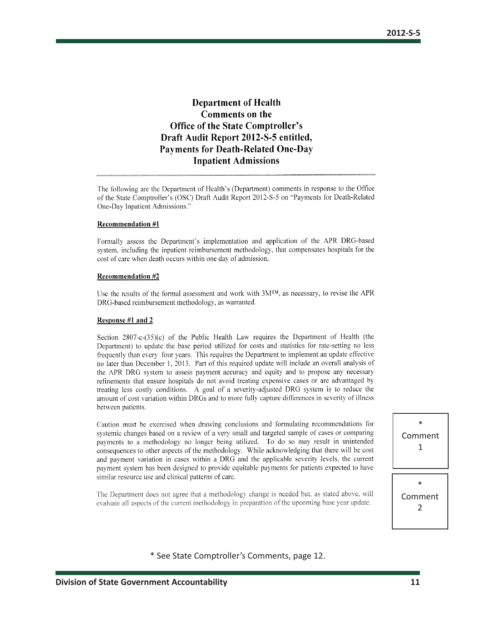#### **Department of Health** Comments on the **Office of the State Comptroller's** Draft Audit Report 2012-S-5 entitled, **Payments for Death-Related One-Day Inpatient Admissions**

The following are the Department of Health's (Department) comments in response to the Office of the State Comptroller's (OSC) Draft Audit Report 2012-S-5 on "Payments for Death-Related One-Day Inpatient Admissions."

#### **Recommendation #1**

Formally assess the Department's implementation and application of the APR DRG-based system, including the inpatient reimbursement methodology, that compensates hospitals for the cost of care when death occurs within one day of admission.

#### **Recommendation #2**

Use the results of the formal assessment and work with 3MTM, as necessary, to revise the APR DRG-based reimbursement methodology, as warranted.

#### Response #1 and 2

Section  $2807-c-(35)(c)$  of the Public Health Law requires the Department of Health (the Department) to update the base period utilized for costs and statistics for rate-setting no less frequently than every four years. This requires the Department to implement an update effective no later than December 1, 2013. Part of this required update will include an overall analysis of the APR DRG system to assess payment accuracy and equity and to propose any necessary refinements that ensure hospitals do not avoid treating expensive cases or are advantaged by treating less costly conditions. A goal of a severity-adjusted DRG system is to reduce the amount of cost variation within DRGs and to more fully capture differences in severity of illness between patients.

Caution must be exercised when drawing conclusions and formulating recommendations for systemic changes based on a review of a very small and targeted sample of cases or comparing payments to a methodology no longer being utilized. To do so may result in unintended consequences to other aspects of the methodology. While acknowledging that there will be cost and payment variation in cases within a DRG and the applicable severity levels, the current payment system has been designed to provide equitable payments for patients expected to have similar resource use and clinical patterns of care.

The Department does not agree that a methodology change is needed but, as stated above, will evaluate all aspects of the current methodology in preparation of the upcoming base year update.

\* Comment 1

\* Comment 2

\* See State Comptroller's Comments, page 12.